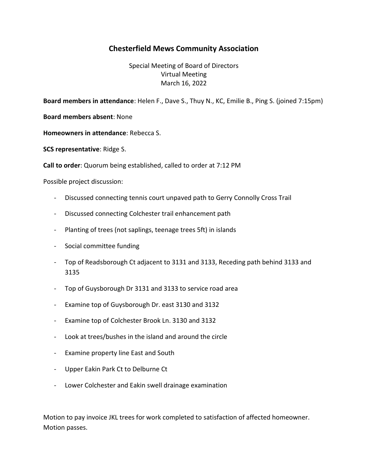## Chesterfield Mews Community Association

Special Meeting of Board of Directors Virtual Meeting March 16, 2022

Board members in attendance: Helen F., Dave S., Thuy N., KC, Emilie B., Ping S. (joined 7:15pm)

Board members absent: None

Homeowners in attendance: Rebecca S.

SCS representative: Ridge S.

Call to order: Quorum being established, called to order at 7:12 PM

Possible project discussion:

- Discussed connecting tennis court unpaved path to Gerry Connolly Cross Trail
- Discussed connecting Colchester trail enhancement path
- Planting of trees (not saplings, teenage trees 5ft) in islands
- Social committee funding
- Top of Readsborough Ct adjacent to 3131 and 3133, Receding path behind 3133 and 3135
- Top of Guysborough Dr 3131 and 3133 to service road area
- Examine top of Guysborough Dr. east 3130 and 3132
- Examine top of Colchester Brook Ln. 3130 and 3132
- Look at trees/bushes in the island and around the circle
- Examine property line East and South
- Upper Eakin Park Ct to Delburne Ct
- Lower Colchester and Eakin swell drainage examination

Motion to pay invoice JKL trees for work completed to satisfaction of affected homeowner. Motion passes.